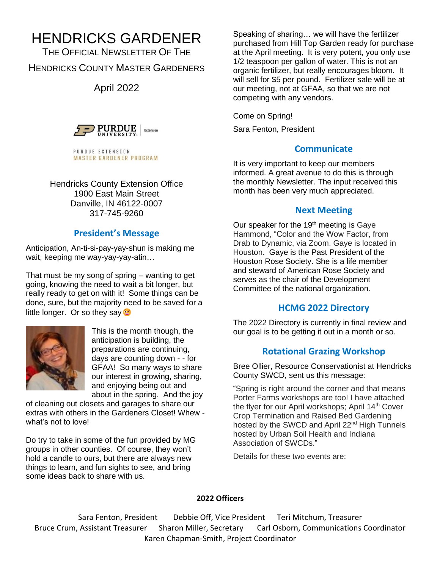# HENDRICKS GARDENER

THE OFFICIAL NEWSLETTER OF THE HENDRICKS COUNTY MASTER GARDENERS

April 2022



PURDUE EXTENSION **MASTER GARDENER PROGRAM** 

Hendricks County Extension Office 1900 East Main Street Danville, IN 46122-0007 317-745-9260

# **President's Message**

Anticipation, An-ti-si-pay-yay-shun is making me wait, keeping me way-yay-yay-atin…

That must be my song of spring – wanting to get going, knowing the need to wait a bit longer, but really ready to get on with it! Some things can be done, sure, but the majority need to be saved for a little longer. Or so they say  $\bullet$ 



This is the month though, the anticipation is building, the preparations are continuing, days are counting down - - for GFAA! So many ways to share our interest in growing, sharing, and enjoying being out and about in the spring. And the joy

of cleaning out closets and garages to share our extras with others in the Gardeners Closet! Whew what's not to love!

Do try to take in some of the fun provided by MG groups in other counties. Of course, they won't hold a candle to ours, but there are always new things to learn, and fun sights to see, and bring some ideas back to share with us.

Speaking of sharing… we will have the fertilizer purchased from Hill Top Garden ready for purchase at the April meeting. It is very potent, you only use 1/2 teaspoon per gallon of water. This is not an organic fertilizer, but really encourages bloom. It will sell for \$5 per pound. Fertilizer sale will be at our meeting, not at GFAA, so that we are not competing with any vendors.

Come on Spring!

Sara Fenton, President

# **Communicate**

It is very important to keep our members informed. A great avenue to do this is through the monthly Newsletter. The input received this month has been very much appreciated.

# **Next Meeting**

Our speaker for the 19<sup>th</sup> meeting is Gaye Hammond, "Color and the Wow Factor, from Drab to Dynamic, via Zoom. Gaye is located in Houston. Gaye is the Past President of the Houston Rose Society. She is a life member and steward of American Rose Society and serves as the chair of the Development Committee of the national organization.

# **HCMG 2022 Directory**

The 2022 Directory is currently in final review and our goal is to be getting it out in a month or so.

# **Rotational Grazing Workshop**

Bree Ollier, Resource Conservationist at Hendricks County SWCD, sent us this message:

"Spring is right around the corner and that means Porter Farms workshops are too! I have attached the flyer for our April workshops; April 14<sup>th</sup> Cover Crop Termination and Raised Bed Gardening hosted by the SWCD and April 22<sup>nd</sup> High Tunnels hosted by Urban Soil Health and Indiana Association of SWCDs."

Details for these two events are:

### **2022 Officers**

Sara Fenton, President Debbie Off, Vice President Teri Mitchum, Treasurer Bruce Crum, Assistant Treasurer Sharon Miller, Secretary Carl Osborn, Communications Coordinator Karen Chapman-Smith, Project Coordinator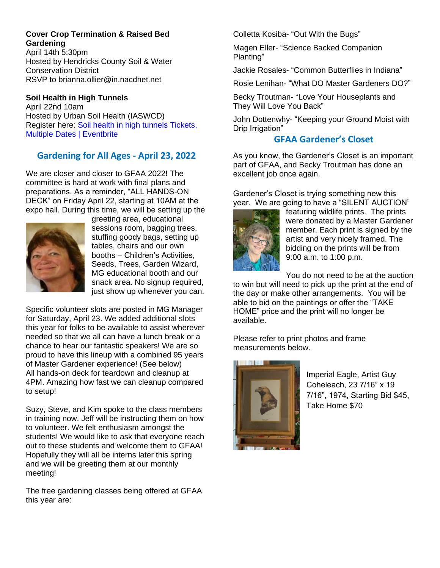# **Cover Crop Termination & Raised Bed Gardening**

April 14th 5:30pm Hosted by Hendricks County Soil & Water Conservation District RSVP to brianna.ollier@in.nacdnet.net

## **Soil Health in High Tunnels**

April 22nd 10am Hosted by Urban Soil Health (IASWCD) Register here: [Soil health in high tunnels Tickets,](https://www.eventbrite.com/e/soil-health-in-high-tunnels-tickets-225319706307)  [Multiple Dates | Eventbrite](https://www.eventbrite.com/e/soil-health-in-high-tunnels-tickets-225319706307)

# **Gardening for All Ages - April 23, 2022**

We are closer and closer to GFAA 2022! The committee is hard at work with final plans and preparations. As a reminder, "ALL HANDS-ON DECK" on Friday April 22, starting at 10AM at the expo hall. During this time, we will be setting up the



greeting area, educational sessions room, bagging trees, stuffing goody bags, setting up tables, chairs and our own booths – Children's Activities, Seeds, Trees, Garden Wizard, MG educational booth and our snack area. No signup required, just show up whenever you can.

Specific volunteer slots are posted in MG Manager for Saturday, April 23. We added additional slots this year for folks to be available to assist wherever needed so that we all can have a lunch break or a chance to hear our fantastic speakers! We are so proud to have this lineup with a combined 95 years of Master Gardener experience! (See below) All hands-on deck for teardown and cleanup at 4PM. Amazing how fast we can cleanup compared to setup!

Suzy, Steve, and Kim spoke to the class members in training now. Jeff will be instructing them on how to volunteer. We felt enthusiasm amongst the students! We would like to ask that everyone reach out to these students and welcome them to GFAA! Hopefully they will all be interns later this spring and we will be greeting them at our monthly meeting!

The free gardening classes being offered at GFAA this year are:

Colletta Kosiba- "Out With the Bugs"

Magen Eller- "Science Backed Companion Planting"

Jackie Rosales- "Common Butterflies in Indiana"

Rosie Lenihan- "What DO Master Gardeners DO?"

Becky Troutman- "Love Your Houseplants and They Will Love You Back"

John Dottenwhy- "Keeping your Ground Moist with Drip Irrigation"

# **GFAA Gardener's Closet**

As you know, the Gardener's Closet is an important part of GFAA, and Becky Troutman has done an excellent job once again.

Gardener's Closet is trying something new this year. We are going to have a "SILENT AUCTION"



featuring wildlife prints. The prints were donated by a Master Gardener member. Each print is signed by the artist and very nicely framed. The bidding on the prints will be from 9:00 a.m. to 1:00 p.m.

You do not need to be at the auction

to win but will need to pick up the print at the end of the day or make other arrangements. You will be able to bid on the paintings or offer the "TAKE HOME" price and the print will no longer be available.

Please refer to print photos and frame measurements below.



Imperial Eagle, Artist Guy Coheleach, 23 7/16" x 19 7/16", 1974, Starting Bid \$45, Take Home \$70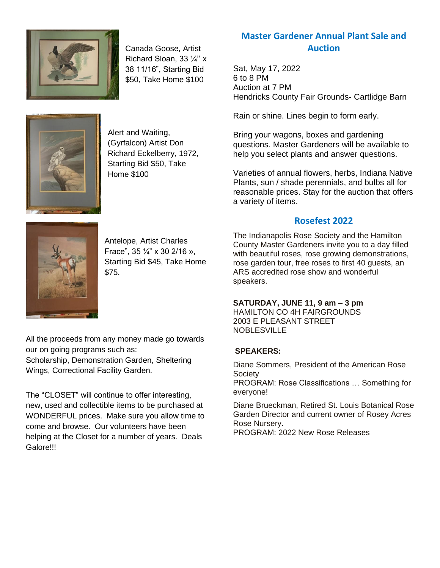

Canada Goose, Artist Richard Sloan, 33 ¼'' x 38 11/16", Starting Bid \$50, Take Home \$100

Alert and Waiting, (Gyrfalcon) Artist Don Richard Eckelberry, 1972, Starting Bid \$50, Take Home \$100

# **Master Gardener Annual Plant Sale and Auction**

Sat, May 17, 2022 6 to 8 PM Auction at 7 PM Hendricks County Fair Grounds- Cartlidge Barn

Rain or shine. Lines begin to form early.

Bring your wagons, boxes and gardening questions. Master Gardeners will be available to help you select plants and answer questions.

Varieties of annual flowers, herbs, Indiana Native Plants, sun / shade perennials, and bulbs all for reasonable prices. Stay for the auction that offers a variety of items.

## **Rosefest 2022**



Antelope, Artist Charles Frace", 35 ¼" x 30 2/16 », Starting Bid \$45, Take Home \$75.

All the proceeds from any money made go towards our on going programs such as: Scholarship, Demonstration Garden, Sheltering Wings, Correctional Facility Garden.

The "CLOSET" will continue to offer interesting, new, used and collectible items to be purchased at WONDERFUL prices. Make sure you allow time to come and browse. Our volunteers have been helping at the Closet for a number of years. Deals Galore!!!

The Indianapolis Rose Society and the Hamilton County Master Gardeners invite you to a day filled with beautiful roses, rose growing demonstrations, rose garden tour, free roses to first 40 guests, an ARS accredited rose show and wonderful speakers.

#### **SATURDAY, JUNE 11, 9 am – 3 pm**

HAMILTON CO 4H FAIRGROUNDS 2003 E PLEASANT STREET NOBLESVILLE

#### **SPEAKERS:**

Diane Sommers, President of the American Rose **Society** 

PROGRAM: Rose Classifications … Something for everyone!

Diane Brueckman, Retired St. Louis Botanical Rose Garden Director and current owner of Rosey Acres Rose Nursery.

PROGRAM: 2022 New Rose Releases